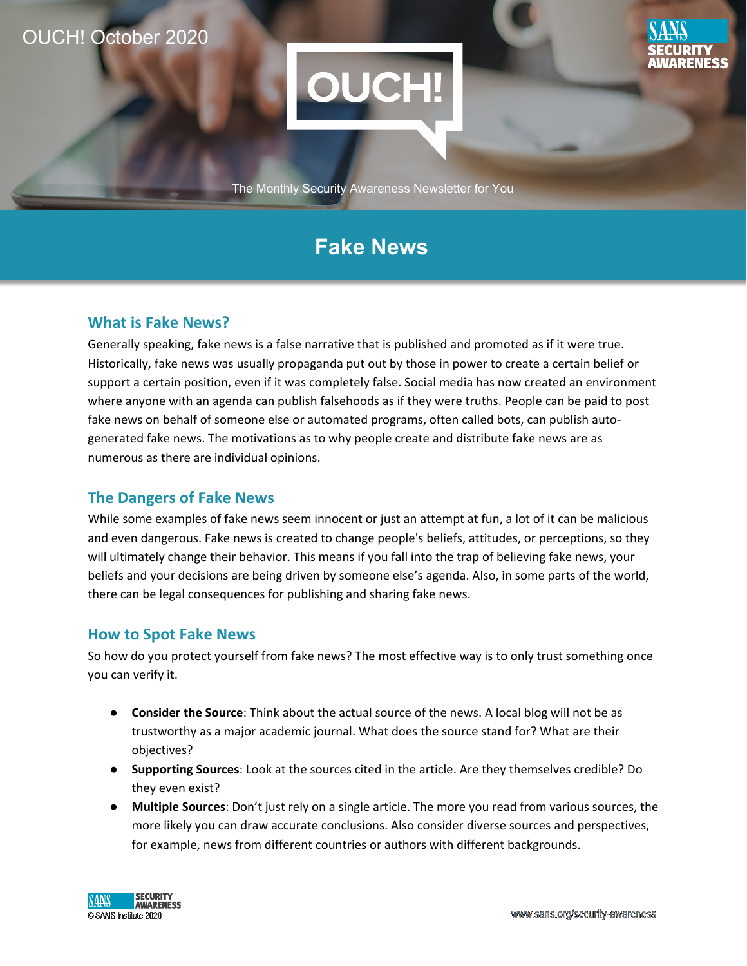## OUCH! October 2020

l



The Monthly Security Awareness Newsletter for You

# **Fake News**

### **What is Fake News?**

Generally speaking, fake news is a false narrative that is published and promoted as if it were true. Historically, fake news was usually propaganda put out by those in power to create a certain belief or support a certain position, even if it was completely false. Social media has now created an environment where anyone with an agenda can publish falsehoods as if they were truths. People can be paid to post fake news on behalf of someone else or automated programs, often called bots, can publish autogenerated fake news. The motivations as to why people create and distribute fake news are as numerous as there are individual opinions.

### **The Dangers of Fake News**

While some examples of fake news seem innocent or just an attempt at fun, a lot of it can be malicious and even dangerous. Fake news is created to change people's beliefs, attitudes, or perceptions, so they will ultimately change their behavior. This means if you fall into the trap of believing fake news, your beliefs and your decisions are being driven by someone else's agenda. Also, in some parts of the world, there can be legal consequences for publishing and sharing fake news.

#### **How to Spot Fake News**

So how do you protect yourself from fake news? The most effective way is to only trust something once you can verify it.

- **Consider the Source**: Think about the actual source of the news. A local blog will not be as trustworthy as a major academic journal. What does the source stand for? What are their objectives?
- **Supporting Sources**: Look at the sources cited in the article. Are they themselves credible? Do they even exist?
- **Multiple Sources**: Don't just rely on a single article. The more you read from various sources, the more likely you can draw accurate conclusions. Also consider diverse sources and perspectives, for example, news from different countries or authors with different backgrounds.



**ARENESS**